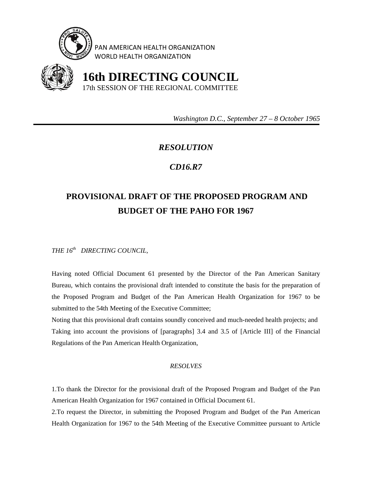

PAN AMERICAN HEALTH ORGANIZATION WORLD HEALTH ORGANIZATION



 **16th DIRECTING COUNCIL** 17th SESSION OF THE REGIONAL COMMITTEE

 *Washington D.C., September 27 – 8 October 1965* 

## *RESOLUTION*

## *CD16.R7*

## **PROVISIONAL DRAFT OF THE PROPOSED PROGRAM AND BUDGET OF THE PAHO FOR 1967**

*THE 16th DIRECTING COUNCIL,* 

Having noted Official Document 61 presented by the Director of the Pan American Sanitary Bureau, which contains the provisional draft intended to constitute the basis for the preparation of the Proposed Program and Budget of the Pan American Health Organization for 1967 to be submitted to the 54th Meeting of the Executive Committee;

Noting that this provisional draft contains soundly conceived and much-needed health projects; and Taking into account the provisions of [paragraphs] 3.4 and 3.5 of [Article III] of the Financial Regulations of the Pan American Health Organization,

## *RESOLVES*

1.To thank the Director for the provisional draft of the Proposed Program and Budget of the Pan American Health Organization for 1967 contained in Official Document 61.

2.To request the Director, in submitting the Proposed Program and Budget of the Pan American Health Organization for 1967 to the 54th Meeting of the Executive Committee pursuant to Article